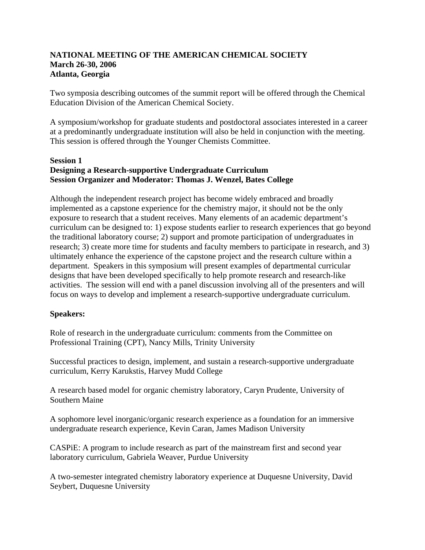# **NATIONAL MEETING OF THE AMERICAN CHEMICAL SOCIETY March 26-30, 2006 Atlanta, Georgia**

Two symposia describing outcomes of the summit report will be offered through the Chemical Education Division of the American Chemical Society.

A symposium/workshop for graduate students and postdoctoral associates interested in a career at a predominantly undergraduate institution will also be held in conjunction with the meeting. This session is offered through the Younger Chemists Committee.

#### **Session 1 Designing a Research-supportive Undergraduate Curriculum Session Organizer and Moderator: Thomas J. Wenzel, Bates College**

Although the independent research project has become widely embraced and broadly implemented as a capstone experience for the chemistry major, it should not be the only exposure to research that a student receives. Many elements of an academic department's curriculum can be designed to: 1) expose students earlier to research experiences that go beyond the traditional laboratory course; 2) support and promote participation of undergraduates in research; 3) create more time for students and faculty members to participate in research, and 3) ultimately enhance the experience of the capstone project and the research culture within a department. Speakers in this symposium will present examples of departmental curricular designs that have been developed specifically to help promote research and research-like activities. The session will end with a panel discussion involving all of the presenters and will focus on ways to develop and implement a research-supportive undergraduate curriculum.

# **Speakers:**

Role of research in the undergraduate curriculum: comments from the Committee on Professional Training (CPT), Nancy Mills, Trinity University

Successful practices to design, implement, and sustain a research-supportive undergraduate curriculum, Kerry Karukstis, Harvey Mudd College

A research based model for organic chemistry laboratory, Caryn Prudente, University of Southern Maine

A sophomore level inorganic/organic research experience as a foundation for an immersive undergraduate research experience, Kevin Caran, James Madison University

CASPiE: A program to include research as part of the mainstream first and second year laboratory curriculum, Gabriela Weaver, Purdue University

A two-semester integrated chemistry laboratory experience at Duquesne University, David Seybert, Duquesne University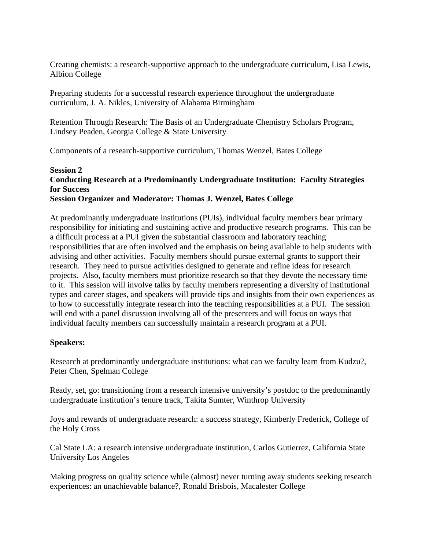Creating chemists: a research-supportive approach to the undergraduate curriculum, Lisa Lewis, Albion College

Preparing students for a successful research experience throughout the undergraduate curriculum, J. A. Nikles, University of Alabama Birmingham

Retention Through Research: The Basis of an Undergraduate Chemistry Scholars Program, Lindsey Peaden, Georgia College & State University

Components of a research-supportive curriculum, Thomas Wenzel, Bates College

#### **Session 2 Conducting Research at a Predominantly Undergraduate Institution: Faculty Strategies for Success Session Organizer and Moderator: Thomas J. Wenzel, Bates College**

At predominantly undergraduate institutions (PUIs), individual faculty members bear primary responsibility for initiating and sustaining active and productive research programs. This can be a difficult process at a PUI given the substantial classroom and laboratory teaching responsibilities that are often involved and the emphasis on being available to help students with advising and other activities. Faculty members should pursue external grants to support their research. They need to pursue activities designed to generate and refine ideas for research projects. Also, faculty members must prioritize research so that they devote the necessary time to it. This session will involve talks by faculty members representing a diversity of institutional types and career stages, and speakers will provide tips and insights from their own experiences as to how to successfully integrate research into the teaching responsibilities at a PUI. The session will end with a panel discussion involving all of the presenters and will focus on ways that individual faculty members can successfully maintain a research program at a PUI.

# **Speakers:**

Research at predominantly undergraduate institutions: what can we faculty learn from Kudzu?, Peter Chen, Spelman College

Ready, set, go: transitioning from a research intensive university's postdoc to the predominantly undergraduate institution's tenure track, Takita Sumter, Winthrop University

Joys and rewards of undergraduate research: a success strategy, Kimberly Frederick, College of the Holy Cross

Cal State LA: a research intensive undergraduate institution, Carlos Gutierrez, California State University Los Angeles

Making progress on quality science while (almost) never turning away students seeking research experiences: an unachievable balance?, Ronald Brisbois, Macalester College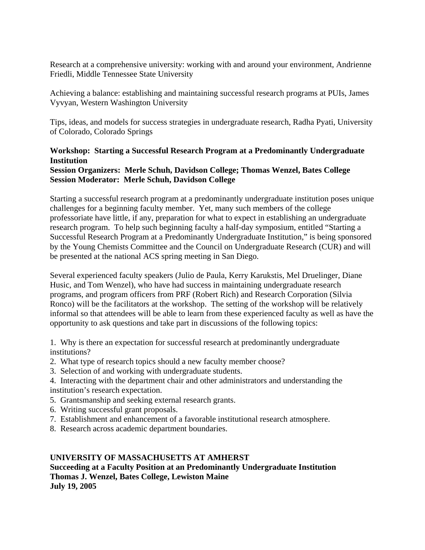Research at a comprehensive university: working with and around your environment, Andrienne Friedli, Middle Tennessee State University

Achieving a balance: establishing and maintaining successful research programs at PUIs, James Vyvyan, Western Washington University

Tips, ideas, and models for success strategies in undergraduate research, Radha Pyati, University of Colorado, Colorado Springs

# **Workshop: Starting a Successful Research Program at a Predominantly Undergraduate Institution**

# **Session Organizers: Merle Schuh, Davidson College; Thomas Wenzel, Bates College Session Moderator: Merle Schuh, Davidson College**

Starting a successful research program at a predominantly undergraduate institution poses unique challenges for a beginning faculty member. Yet, many such members of the college professoriate have little, if any, preparation for what to expect in establishing an undergraduate research program. To help such beginning faculty a half-day symposium, entitled "Starting a Successful Research Program at a Predominantly Undergraduate Institution," is being sponsored by the Young Chemists Committee and the Council on Undergraduate Research (CUR) and will be presented at the national ACS spring meeting in San Diego.

Several experienced faculty speakers (Julio de Paula, Kerry Karukstis, Mel Druelinger, Diane Husic, and Tom Wenzel), who have had success in maintaining undergraduate research programs, and program officers from PRF (Robert Rich) and Research Corporation (Silvia Ronco) will be the facilitators at the workshop. The setting of the workshop will be relatively informal so that attendees will be able to learn from these experienced faculty as well as have the opportunity to ask questions and take part in discussions of the following topics:

1. Why is there an expectation for successful research at predominantly undergraduate institutions?

- 2. What type of research topics should a new faculty member choose?
- 3. Selection of and working with undergraduate students.
- 4. Interacting with the department chair and other administrators and understanding the institution's research expectation.
- 5. Grantsmanship and seeking external research grants.
- 6. Writing successful grant proposals.
- 7. Establishment and enhancement of a favorable institutional research atmosphere.
- 8. Research across academic department boundaries.

# **UNIVERSITY OF MASSACHUSETTS AT AMHERST**

# **Succeeding at a Faculty Position at an Predominantly Undergraduate Institution Thomas J. Wenzel, Bates College, Lewiston Maine July 19, 2005**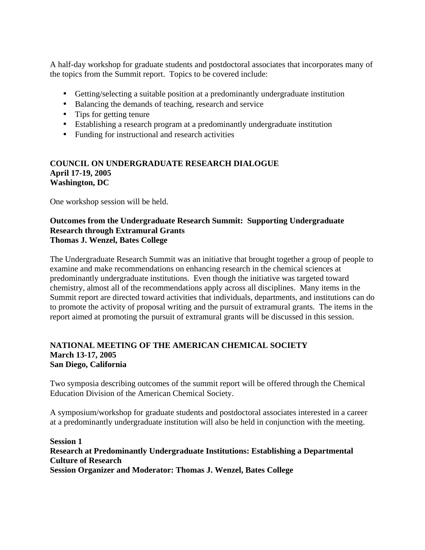A half-day workshop for graduate students and postdoctoral associates that incorporates many of the topics from the Summit report. Topics to be covered include:

- Getting/selecting a suitable position at a predominantly undergraduate institution
- Balancing the demands of teaching, research and service
- Tips for getting tenure
- Establishing a research program at a predominantly undergraduate institution
- Funding for instructional and research activities

## **COUNCIL ON UNDERGRADUATE RESEARCH DIALOGUE April 17-19, 2005 Washington, DC**

One workshop session will be held.

## **Outcomes from the Undergraduate Research Summit: Supporting Undergraduate Research through Extramural Grants Thomas J. Wenzel, Bates College**

The Undergraduate Research Summit was an initiative that brought together a group of people to examine and make recommendations on enhancing research in the chemical sciences at predominantly undergraduate institutions. Even though the initiative was targeted toward chemistry, almost all of the recommendations apply across all disciplines. Many items in the Summit report are directed toward activities that individuals, departments, and institutions can do to promote the activity of proposal writing and the pursuit of extramural grants. The items in the report aimed at promoting the pursuit of extramural grants will be discussed in this session.

## **NATIONAL MEETING OF THE AMERICAN CHEMICAL SOCIETY March 13-17, 2005 San Diego, California**

Two symposia describing outcomes of the summit report will be offered through the Chemical Education Division of the American Chemical Society.

A symposium/workshop for graduate students and postdoctoral associates interested in a career at a predominantly undergraduate institution will also be held in conjunction with the meeting.

**Session 1 Research at Predominantly Undergraduate Institutions: Establishing a Departmental Culture of Research Session Organizer and Moderator: Thomas J. Wenzel, Bates College**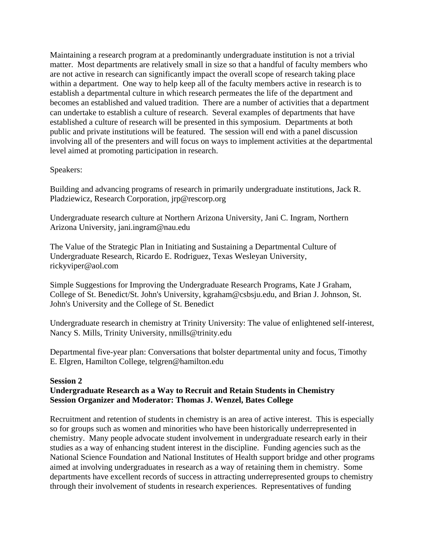Maintaining a research program at a predominantly undergraduate institution is not a trivial matter. Most departments are relatively small in size so that a handful of faculty members who are not active in research can significantly impact the overall scope of research taking place within a department. One way to help keep all of the faculty members active in research is to establish a departmental culture in which research permeates the life of the department and becomes an established and valued tradition. There are a number of activities that a department can undertake to establish a culture of research. Several examples of departments that have established a culture of research will be presented in this symposium. Departments at both public and private institutions will be featured. The session will end with a panel discussion involving all of the presenters and will focus on ways to implement activities at the departmental level aimed at promoting participation in research.

## Speakers:

Building and advancing programs of research in primarily undergraduate institutions, Jack R. Pladziewicz, Research Corporation, jrp@rescorp.org

Undergraduate research culture at Northern Arizona University, Jani C. Ingram, Northern Arizona University, jani.ingram@nau.edu

The Value of the Strategic Plan in Initiating and Sustaining a Departmental Culture of Undergraduate Research, Ricardo E. Rodriguez, Texas Wesleyan University, rickyviper@aol.com

Simple Suggestions for Improving the Undergraduate Research Programs, Kate J Graham, College of St. Benedict/St. John's University, kgraham@csbsju.edu, and Brian J. Johnson, St. John's University and the College of St. Benedict

Undergraduate research in chemistry at Trinity University: The value of enlightened self-interest, Nancy S. Mills, Trinity University, nmills@trinity.edu

Departmental five-year plan: Conversations that bolster departmental unity and focus, Timothy E. Elgren, Hamilton College, telgren@hamilton.edu

#### **Session 2**

# **Undergraduate Research as a Way to Recruit and Retain Students in Chemistry Session Organizer and Moderator: Thomas J. Wenzel, Bates College**

Recruitment and retention of students in chemistry is an area of active interest. This is especially so for groups such as women and minorities who have been historically underrepresented in chemistry. Many people advocate student involvement in undergraduate research early in their studies as a way of enhancing student interest in the discipline. Funding agencies such as the National Science Foundation and National Institutes of Health support bridge and other programs aimed at involving undergraduates in research as a way of retaining them in chemistry. Some departments have excellent records of success in attracting underrepresented groups to chemistry through their involvement of students in research experiences. Representatives of funding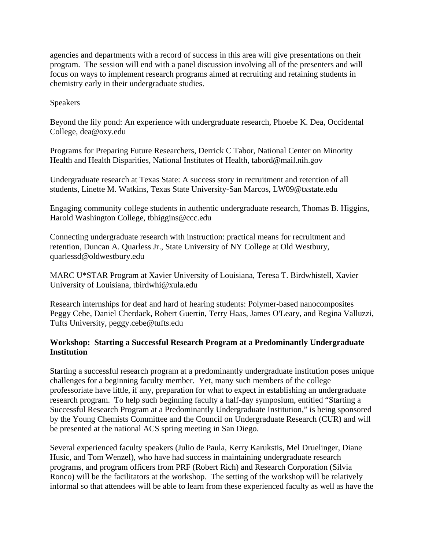agencies and departments with a record of success in this area will give presentations on their program. The session will end with a panel discussion involving all of the presenters and will focus on ways to implement research programs aimed at recruiting and retaining students in chemistry early in their undergraduate studies.

Speakers

Beyond the lily pond: An experience with undergraduate research, Phoebe K. Dea, Occidental College, dea@oxy.edu

Programs for Preparing Future Researchers, Derrick C Tabor, National Center on Minority Health and Health Disparities, National Institutes of Health, tabord@mail.nih.gov

Undergraduate research at Texas State: A success story in recruitment and retention of all students, Linette M. Watkins, Texas State University-San Marcos, LW09@txstate.edu

Engaging community college students in authentic undergraduate research, Thomas B. Higgins, Harold Washington College, tbhiggins@ccc.edu

Connecting undergraduate research with instruction: practical means for recruitment and retention, Duncan A. Quarless Jr., State University of NY College at Old Westbury, quarlessd@oldwestbury.edu

MARC U\*STAR Program at Xavier University of Louisiana, Teresa T. Birdwhistell, Xavier University of Louisiana, tbirdwhi@xula.edu

Research internships for deaf and hard of hearing students: Polymer-based nanocomposites Peggy Cebe, Daniel Cherdack, Robert Guertin, Terry Haas, James O'Leary, and Regina Valluzzi, Tufts University, peggy.cebe@tufts.edu

## **Workshop: Starting a Successful Research Program at a Predominantly Undergraduate Institution**

Starting a successful research program at a predominantly undergraduate institution poses unique challenges for a beginning faculty member. Yet, many such members of the college professoriate have little, if any, preparation for what to expect in establishing an undergraduate research program. To help such beginning faculty a half-day symposium, entitled "Starting a Successful Research Program at a Predominantly Undergraduate Institution," is being sponsored by the Young Chemists Committee and the Council on Undergraduate Research (CUR) and will be presented at the national ACS spring meeting in San Diego.

Several experienced faculty speakers (Julio de Paula, Kerry Karukstis, Mel Druelinger, Diane Husic, and Tom Wenzel), who have had success in maintaining undergraduate research programs, and program officers from PRF (Robert Rich) and Research Corporation (Silvia Ronco) will be the facilitators at the workshop. The setting of the workshop will be relatively informal so that attendees will be able to learn from these experienced faculty as well as have the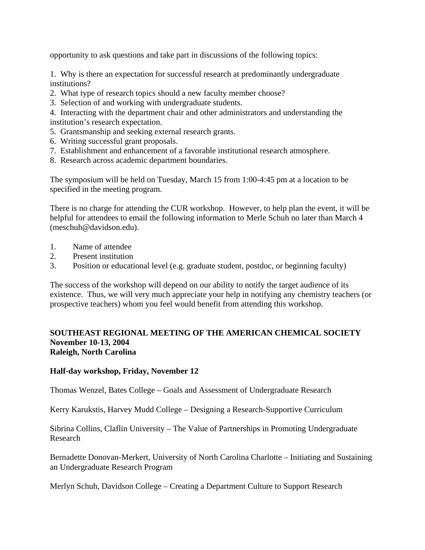opportunity to ask questions and take part in discussions of the following topics:

1. Why is there an expectation for successful research at predominantly undergraduate institutions?

- 2. What type of research topics should a new faculty member choose?
- 3. Selection of and working with undergraduate students.

4. Interacting with the department chair and other administrators and understanding the institution's research expectation.

- 5. Grantsmanship and seeking external research grants.
- 6. Writing successful grant proposals.
- 7. Establishment and enhancement of a favorable institutional research atmosphere.
- 8. Research across academic department boundaries.

The symposium will be held on Tuesday, March 15 from 1:00-4:45 pm at a location to be specified in the meeting program.

There is no charge for attending the CUR workshop. However, to help plan the event, it will be helpful for attendees to email the following information to Merle Schuh no later than March 4 (meschuh@davidson.edu).

- 1. Name of attendee
- 2. Present institution
- 3. Position or educational level (e.g. graduate student, postdoc, or beginning faculty)

The success of the workshop will depend on our ability to notify the target audience of its existence. Thus, we will very much appreciate your help in notifying any chemistry teachers (or prospective teachers) whom you feel would benefit from attending this workshop.

#### **SOUTHEAST REGIONAL MEETING OF THE AMERICAN CHEMICAL SOCIETY November 10-13, 2004 Raleigh, North Carolina**

#### **Half-day workshop, Friday, November 12**

Thomas Wenzel, Bates College – Goals and Assessment of Undergraduate Research

Kerry Karukstis, Harvey Mudd College – Designing a Research-Supportive Curriculum

Sibrina Collins, Claflin University – The Value of Partnerships in Promoting Undergraduate Research

Bernadette Donovan-Merkert, University of North Carolina Charlotte – Initiating and Sustaining an Undergraduate Research Program

Merlyn Schuh, Davidson College – Creating a Department Culture to Support Research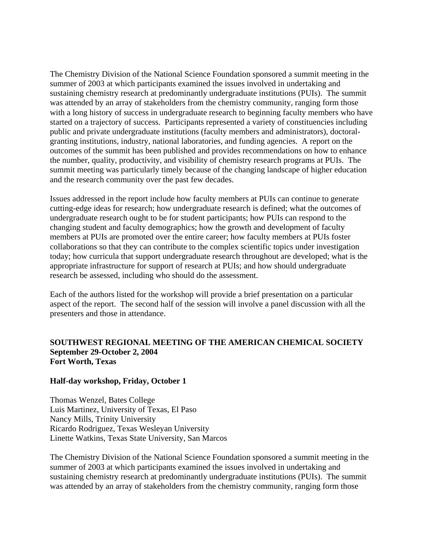The Chemistry Division of the National Science Foundation sponsored a summit meeting in the summer of 2003 at which participants examined the issues involved in undertaking and sustaining chemistry research at predominantly undergraduate institutions (PUIs). The summit was attended by an array of stakeholders from the chemistry community, ranging form those with a long history of success in undergraduate research to beginning faculty members who have started on a trajectory of success. Participants represented a variety of constituencies including public and private undergraduate institutions (faculty members and administrators), doctoralgranting institutions, industry, national laboratories, and funding agencies. A report on the outcomes of the summit has been published and provides recommendations on how to enhance the number, quality, productivity, and visibility of chemistry research programs at PUIs. The summit meeting was particularly timely because of the changing landscape of higher education and the research community over the past few decades.

Issues addressed in the report include how faculty members at PUIs can continue to generate cutting-edge ideas for research; how undergraduate research is defined; what the outcomes of undergraduate research ought to be for student participants; how PUIs can respond to the changing student and faculty demographics; how the growth and development of faculty members at PUIs are promoted over the entire career; how faculty members at PUIs foster collaborations so that they can contribute to the complex scientific topics under investigation today; how curricula that support undergraduate research throughout are developed; what is the appropriate infrastructure for support of research at PUIs; and how should undergraduate research be assessed, including who should do the assessment.

Each of the authors listed for the workshop will provide a brief presentation on a particular aspect of the report. The second half of the session will involve a panel discussion with all the presenters and those in attendance.

#### **SOUTHWEST REGIONAL MEETING OF THE AMERICAN CHEMICAL SOCIETY September 29-October 2, 2004 Fort Worth, Texas**

#### **Half-day workshop, Friday, October 1**

Thomas Wenzel, Bates College Luis Martinez, University of Texas, El Paso Nancy Mills, Trinity University Ricardo Rodriguez, Texas Wesleyan University Linette Watkins, Texas State University, San Marcos

The Chemistry Division of the National Science Foundation sponsored a summit meeting in the summer of 2003 at which participants examined the issues involved in undertaking and sustaining chemistry research at predominantly undergraduate institutions (PUIs). The summit was attended by an array of stakeholders from the chemistry community, ranging form those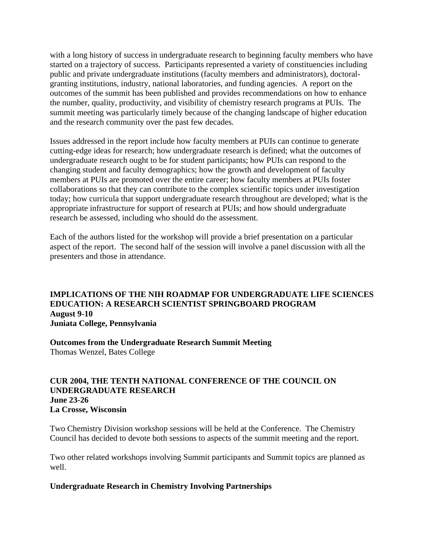with a long history of success in undergraduate research to beginning faculty members who have started on a trajectory of success. Participants represented a variety of constituencies including public and private undergraduate institutions (faculty members and administrators), doctoralgranting institutions, industry, national laboratories, and funding agencies. A report on the outcomes of the summit has been published and provides recommendations on how to enhance the number, quality, productivity, and visibility of chemistry research programs at PUIs. The summit meeting was particularly timely because of the changing landscape of higher education and the research community over the past few decades.

Issues addressed in the report include how faculty members at PUIs can continue to generate cutting-edge ideas for research; how undergraduate research is defined; what the outcomes of undergraduate research ought to be for student participants; how PUIs can respond to the changing student and faculty demographics; how the growth and development of faculty members at PUIs are promoted over the entire career; how faculty members at PUIs foster collaborations so that they can contribute to the complex scientific topics under investigation today; how curricula that support undergraduate research throughout are developed; what is the appropriate infrastructure for support of research at PUIs; and how should undergraduate research be assessed, including who should do the assessment.

Each of the authors listed for the workshop will provide a brief presentation on a particular aspect of the report. The second half of the session will involve a panel discussion with all the presenters and those in attendance.

## **IMPLICATIONS OF THE NIH ROADMAP FOR UNDERGRADUATE LIFE SCIENCES EDUCATION: A RESEARCH SCIENTIST SPRINGBOARD PROGRAM August 9-10 Juniata College, Pennsylvania**

**Outcomes from the Undergraduate Research Summit Meeting**  Thomas Wenzel, Bates College

## **CUR 2004, THE TENTH NATIONAL CONFERENCE OF THE COUNCIL ON UNDERGRADUATE RESEARCH June 23-26 La Crosse, Wisconsin**

Two Chemistry Division workshop sessions will be held at the Conference. The Chemistry Council has decided to devote both sessions to aspects of the summit meeting and the report.

Two other related workshops involving Summit participants and Summit topics are planned as well.

#### **Undergraduate Research in Chemistry Involving Partnerships**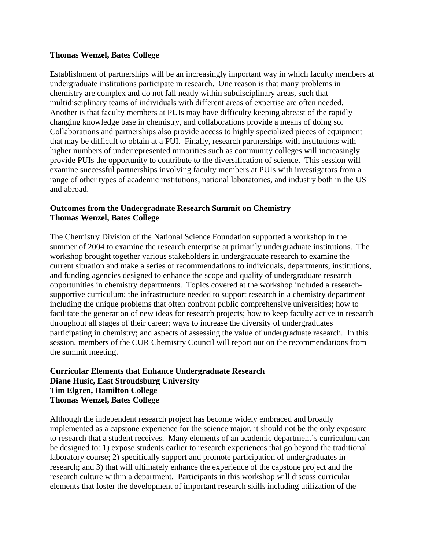#### **Thomas Wenzel, Bates College**

Establishment of partnerships will be an increasingly important way in which faculty members at undergraduate institutions participate in research. One reason is that many problems in chemistry are complex and do not fall neatly within subdisciplinary areas, such that multidisciplinary teams of individuals with different areas of expertise are often needed. Another is that faculty members at PUIs may have difficulty keeping abreast of the rapidly changing knowledge base in chemistry, and collaborations provide a means of doing so. Collaborations and partnerships also provide access to highly specialized pieces of equipment that may be difficult to obtain at a PUI. Finally, research partnerships with institutions with higher numbers of underrepresented minorities such as community colleges will increasingly provide PUIs the opportunity to contribute to the diversification of science. This session will examine successful partnerships involving faculty members at PUIs with investigators from a range of other types of academic institutions, national laboratories, and industry both in the US and abroad.

# **Outcomes from the Undergraduate Research Summit on Chemistry Thomas Wenzel, Bates College**

The Chemistry Division of the National Science Foundation supported a workshop in the summer of 2004 to examine the research enterprise at primarily undergraduate institutions. The workshop brought together various stakeholders in undergraduate research to examine the current situation and make a series of recommendations to individuals, departments, institutions, and funding agencies designed to enhance the scope and quality of undergraduate research opportunities in chemistry departments. Topics covered at the workshop included a researchsupportive curriculum; the infrastructure needed to support research in a chemistry department including the unique problems that often confront public comprehensive universities; how to facilitate the generation of new ideas for research projects; how to keep faculty active in research throughout all stages of their career; ways to increase the diversity of undergraduates participating in chemistry; and aspects of assessing the value of undergraduate research. In this session, members of the CUR Chemistry Council will report out on the recommendations from the summit meeting.

# **Curricular Elements that Enhance Undergraduate Research Diane Husic, East Stroudsburg University Tim Elgren, Hamilton College Thomas Wenzel, Bates College**

Although the independent research project has become widely embraced and broadly implemented as a capstone experience for the science major, it should not be the only exposure to research that a student receives. Many elements of an academic department's curriculum can be designed to: 1) expose students earlier to research experiences that go beyond the traditional laboratory course; 2) specifically support and promote participation of undergraduates in research; and 3) that will ultimately enhance the experience of the capstone project and the research culture within a department. Participants in this workshop will discuss curricular elements that foster the development of important research skills including utilization of the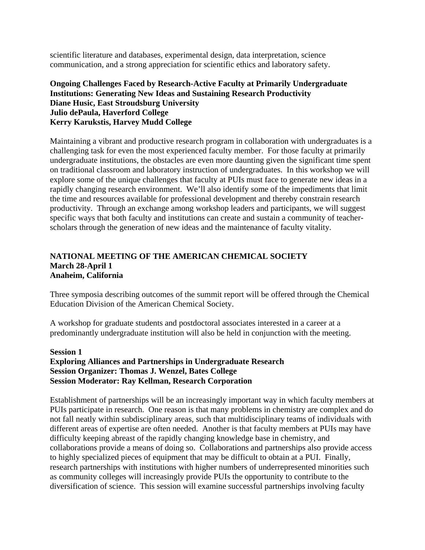scientific literature and databases, experimental design, data interpretation, science communication, and a strong appreciation for scientific ethics and laboratory safety.

## **Ongoing Challenges Faced by Research-Active Faculty at Primarily Undergraduate Institutions: Generating New Ideas and Sustaining Research Productivity Diane Husic, East Stroudsburg University Julio dePaula, Haverford College Kerry Karukstis, Harvey Mudd College**

Maintaining a vibrant and productive research program in collaboration with undergraduates is a challenging task for even the most experienced faculty member. For those faculty at primarily undergraduate institutions, the obstacles are even more daunting given the significant time spent on traditional classroom and laboratory instruction of undergraduates. In this workshop we will explore some of the unique challenges that faculty at PUIs must face to generate new ideas in a rapidly changing research environment. We'll also identify some of the impediments that limit the time and resources available for professional development and thereby constrain research productivity. Through an exchange among workshop leaders and participants, we will suggest specific ways that both faculty and institutions can create and sustain a community of teacherscholars through the generation of new ideas and the maintenance of faculty vitality.

## **NATIONAL MEETING OF THE AMERICAN CHEMICAL SOCIETY March 28-April 1 Anaheim, California**

Three symposia describing outcomes of the summit report will be offered through the Chemical Education Division of the American Chemical Society.

A workshop for graduate students and postdoctoral associates interested in a career at a predominantly undergraduate institution will also be held in conjunction with the meeting.

#### **Session 1 Exploring Alliances and Partnerships in Undergraduate Research Session Organizer: Thomas J. Wenzel, Bates College Session Moderator: Ray Kellman, Research Corporation**

Establishment of partnerships will be an increasingly important way in which faculty members at PUIs participate in research. One reason is that many problems in chemistry are complex and do not fall neatly within subdisciplinary areas, such that multidisciplinary teams of individuals with different areas of expertise are often needed. Another is that faculty members at PUIs may have difficulty keeping abreast of the rapidly changing knowledge base in chemistry, and collaborations provide a means of doing so. Collaborations and partnerships also provide access to highly specialized pieces of equipment that may be difficult to obtain at a PUI. Finally, research partnerships with institutions with higher numbers of underrepresented minorities such as community colleges will increasingly provide PUIs the opportunity to contribute to the diversification of science. This session will examine successful partnerships involving faculty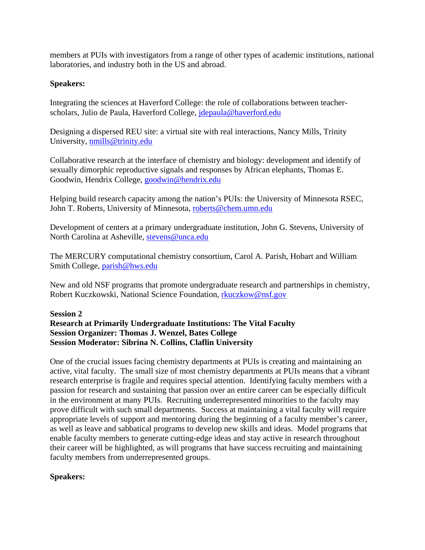members at PUIs with investigators from a range of other types of academic institutions, national laboratories, and industry both in the US and abroad.

# **Speakers:**

Integrating the sciences at Haverford College: the role of collaborations between teacherscholars, Julio de Paula, Haverford College, jdepaula@haverford.edu

Designing a dispersed REU site: a virtual site with real interactions, Nancy Mills, Trinity University, nmills@trinity.edu

Collaborative research at the interface of chemistry and biology: development and identify of sexually dimorphic reproductive signals and responses by African elephants, Thomas E. Goodwin, Hendrix College, goodwin@hendrix.edu

Helping build research capacity among the nation's PUIs: the University of Minnesota RSEC, John T. Roberts, University of Minnesota, roberts@chem.umn.edu

Development of centers at a primary undergraduate institution, John G. Stevens, University of North Carolina at Asheville, stevens@unca.edu

The MERCURY computational chemistry consortium, Carol A. Parish, Hobart and William Smith College, parish@hws.edu

New and old NSF programs that promote undergraduate research and partnerships in chemistry, Robert Kuczkowski, National Science Foundation, rkuczkow@nsf.gov

# **Session 2**

# **Research at Primarily Undergraduate Institutions: The Vital Faculty Session Organizer: Thomas J. Wenzel, Bates College Session Moderator: Sibrina N. Collins, Claflin University**

One of the crucial issues facing chemistry departments at PUIs is creating and maintaining an active, vital faculty. The small size of most chemistry departments at PUIs means that a vibrant research enterprise is fragile and requires special attention. Identifying faculty members with a passion for research and sustaining that passion over an entire career can be especially difficult in the environment at many PUIs. Recruiting underrepresented minorities to the faculty may prove difficult with such small departments. Success at maintaining a vital faculty will require appropriate levels of support and mentoring during the beginning of a faculty member's career, as well as leave and sabbatical programs to develop new skills and ideas. Model programs that enable faculty members to generate cutting-edge ideas and stay active in research throughout their career will be highlighted, as will programs that have success recruiting and maintaining faculty members from underrepresented groups.

# **Speakers:**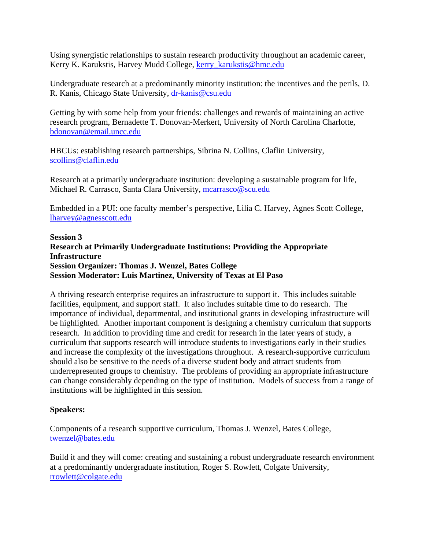Using synergistic relationships to sustain research productivity throughout an academic career, Kerry K. Karukstis, Harvey Mudd College, kerry\_karukstis@hmc.edu

Undergraduate research at a predominantly minority institution: the incentives and the perils, D. R. Kanis, Chicago State University, dr-kanis@csu.edu

Getting by with some help from your friends: challenges and rewards of maintaining an active research program, Bernadette T. Donovan-Merkert, University of North Carolina Charlotte, bdonovan@email.uncc.edu

HBCUs: establishing research partnerships, Sibrina N. Collins, Claflin University, scollins@claflin.edu

Research at a primarily undergraduate institution: developing a sustainable program for life, Michael R. Carrasco, Santa Clara University, mcarrasco@scu.edu

Embedded in a PUI: one faculty member's perspective, Lilia C. Harvey, Agnes Scott College, lharvey@agnesscott.edu

**Session 3 Research at Primarily Undergraduate Institutions: Providing the Appropriate Infrastructure Session Organizer: Thomas J. Wenzel, Bates College Session Moderator: Luis Martinez, University of Texas at El Paso** 

A thriving research enterprise requires an infrastructure to support it. This includes suitable facilities, equipment, and support staff. It also includes suitable time to do research. The importance of individual, departmental, and institutional grants in developing infrastructure will be highlighted. Another important component is designing a chemistry curriculum that supports research. In addition to providing time and credit for research in the later years of study, a curriculum that supports research will introduce students to investigations early in their studies and increase the complexity of the investigations throughout. A research-supportive curriculum should also be sensitive to the needs of a diverse student body and attract students from underrepresented groups to chemistry. The problems of providing an appropriate infrastructure can change considerably depending on the type of institution. Models of success from a range of institutions will be highlighted in this session.

# **Speakers:**

Components of a research supportive curriculum, Thomas J. Wenzel, Bates College, twenzel@bates.edu

Build it and they will come: creating and sustaining a robust undergraduate research environment at a predominantly undergraduate institution, Roger S. Rowlett, Colgate University, rrowlett@colgate.edu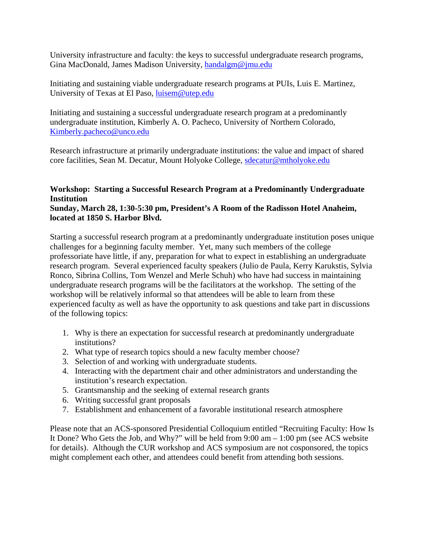University infrastructure and faculty: the keys to successful undergraduate research programs, Gina MacDonald, James Madison University, handalgm@jmu.edu

Initiating and sustaining viable undergraduate research programs at PUIs, Luis E. Martinez, University of Texas at El Paso, luisem@utep.edu

Initiating and sustaining a successful undergraduate research program at a predominantly undergraduate institution, Kimberly A. O. Pacheco, University of Northern Colorado, Kimberly.pacheco@unco.edu

Research infrastructure at primarily undergraduate institutions: the value and impact of shared core facilities, Sean M. Decatur, Mount Holyoke College, sdecatur@mtholyoke.edu

#### **Workshop: Starting a Successful Research Program at a Predominantly Undergraduate Institution Sunday, March 28, 1:30-5:30 pm, President's A Room of the Radisson Hotel Anaheim,**

#### **located at 1850 S. Harbor Blvd.**

Starting a successful research program at a predominantly undergraduate institution poses unique challenges for a beginning faculty member. Yet, many such members of the college professoriate have little, if any, preparation for what to expect in establishing an undergraduate research program. Several experienced faculty speakers (Julio de Paula, Kerry Karukstis, Sylvia Ronco, Sibrina Collins, Tom Wenzel and Merle Schuh) who have had success in maintaining undergraduate research programs will be the facilitators at the workshop. The setting of the workshop will be relatively informal so that attendees will be able to learn from these experienced faculty as well as have the opportunity to ask questions and take part in discussions of the following topics:

- 1. Why is there an expectation for successful research at predominantly undergraduate institutions?
- 2. What type of research topics should a new faculty member choose?
- 3. Selection of and working with undergraduate students.
- 4. Interacting with the department chair and other administrators and understanding the institution's research expectation.
- 5. Grantsmanship and the seeking of external research grants
- 6. Writing successful grant proposals
- 7. Establishment and enhancement of a favorable institutional research atmosphere

Please note that an ACS-sponsored Presidential Colloquium entitled "Recruiting Faculty: How Is It Done? Who Gets the Job, and Why?" will be held from 9:00 am – 1:00 pm (see ACS website for details). Although the CUR workshop and ACS symposium are not cosponsored, the topics might complement each other, and attendees could benefit from attending both sessions.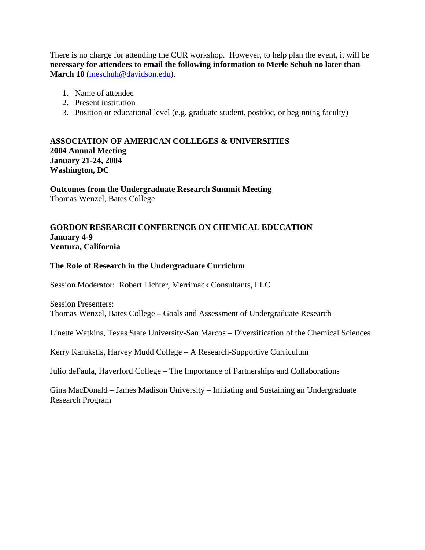There is no charge for attending the CUR workshop. However, to help plan the event, it will be **necessary for attendees to email the following information to Merle Schuh no later than March 10** (meschuh@davidson.edu).

- 1. Name of attendee
- 2. Present institution
- 3. Position or educational level (e.g. graduate student, postdoc, or beginning faculty)

# **ASSOCIATION OF AMERICAN COLLEGES & UNIVERSITIES 2004 Annual Meeting January 21-24, 2004 Washington, DC**

**Outcomes from the Undergraduate Research Summit Meeting**  Thomas Wenzel, Bates College

# **GORDON RESEARCH CONFERENCE ON CHEMICAL EDUCATION January 4-9 Ventura, California**

#### **The Role of Research in the Undergraduate Curriclum**

Session Moderator: Robert Lichter, Merrimack Consultants, LLC

Session Presenters: Thomas Wenzel, Bates College – Goals and Assessment of Undergraduate Research

Linette Watkins, Texas State University-San Marcos – Diversification of the Chemical Sciences

Kerry Karukstis, Harvey Mudd College – A Research-Supportive Curriculum

Julio dePaula, Haverford College – The Importance of Partnerships and Collaborations

Gina MacDonald – James Madison University – Initiating and Sustaining an Undergraduate Research Program